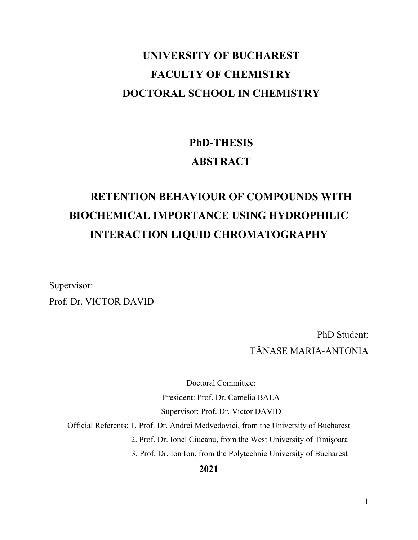# **UNIVERSITY OF BUCHAREST FACULTY OF CHEMISTRY DOCTORAL SCHOOL IN CHEMISTRY**

# **PhD-THESIS ABSTRACT**

# **RETENTION BEHAVIOUR OF COMPOUNDS WITH BIOCHEMICAL IMPORTANCE USING HYDROPHILIC INTERACTION LIQUID CHROMATOGRAPHY**

Supervisor: Prof. Dr. VICTOR DAVID

> PhD Student: TĂNASE MARIA-ANTONIA

Doctoral Committee: President: Prof. Dr. Camelia BALA Supervisor: Prof. Dr. Victor DAVID

Official Referents: 1. Prof. Dr. Andrei Medvedovici, from the University of Bucharest

2. Prof. Dr. Ionel Ciucanu, from the West University of Timişoara

3. Prof. Dr. Ion Ion, from the Polytechnic University of Bucharest

**2021**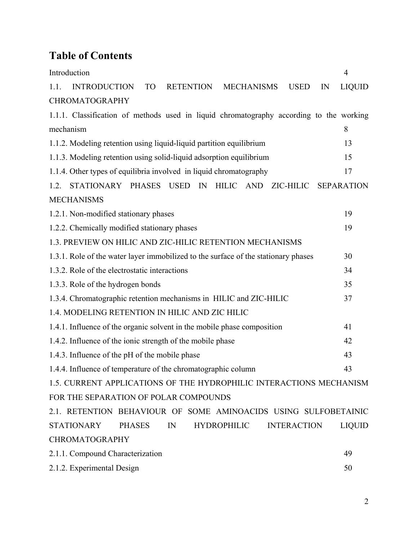# **Table of Contents**

| Introduction                                                                                           | $\overline{4}$    |
|--------------------------------------------------------------------------------------------------------|-------------------|
| <b>INTRODUCTION</b><br><b>RETENTION</b><br><b>MECHANISMS</b><br>1.1.<br><b>TO</b><br><b>USED</b><br>IN | <b>LIQUID</b>     |
| <b>CHROMATOGRAPHY</b>                                                                                  |                   |
| 1.1.1. Classification of methods used in liquid chromatography according to the working                |                   |
| mechanism                                                                                              | 8                 |
| 1.1.2. Modeling retention using liquid-liquid partition equilibrium                                    | 13                |
| 1.1.3. Modeling retention using solid-liquid adsorption equilibrium                                    | 15                |
| 1.1.4. Other types of equilibria involved in liquid chromatography                                     | 17                |
| STATIONARY PHASES USED<br>IN<br>HILIC AND<br>ZIC-HILIC<br>1.2.                                         | <b>SEPARATION</b> |
| <b>MECHANISMS</b>                                                                                      |                   |
| 1.2.1. Non-modified stationary phases                                                                  | 19                |
| 1.2.2. Chemically modified stationary phases                                                           | 19                |
| 1.3. PREVIEW ON HILIC AND ZIC-HILIC RETENTION MECHANISMS                                               |                   |
| 1.3.1. Role of the water layer immobilized to the surface of the stationary phases                     | 30                |
| 1.3.2. Role of the electrostatic interactions                                                          | 34                |
| 1.3.3. Role of the hydrogen bonds                                                                      | 35                |
| 1.3.4. Chromatographic retention mechanisms in HILIC and ZIC-HILIC                                     | 37                |
| 1.4. MODELING RETENTION IN HILIC AND ZIC HILIC                                                         |                   |
| 1.4.1. Influence of the organic solvent in the mobile phase composition                                | 41                |
| 1.4.2. Influence of the ionic strength of the mobile phase                                             | 42                |
| 1.4.3. Influence of the pH of the mobile phase                                                         | 43                |
| 1.4.4. Influence of temperature of the chromatographic column                                          | 43                |
| 1.5. CURRENT APPLICATIONS OF THE HYDROPHILIC INTERACTIONS MECHANISM                                    |                   |
| FOR THE SEPARATION OF POLAR COMPOUNDS                                                                  |                   |
| 2.1. RETENTION BEHAVIOUR OF SOME AMINOACIDS USING SULFOBETAINIC                                        |                   |
| STATIONARY<br>PHASES<br><b>HYDROPHILIC</b><br>IN<br><b>INTERACTION</b>                                 | <b>LIQUID</b>     |
| CHROMATOGRAPHY                                                                                         |                   |
| 2.1.1. Compound Characterization                                                                       | 49                |
| 2.1.2. Experimental Design                                                                             | 50                |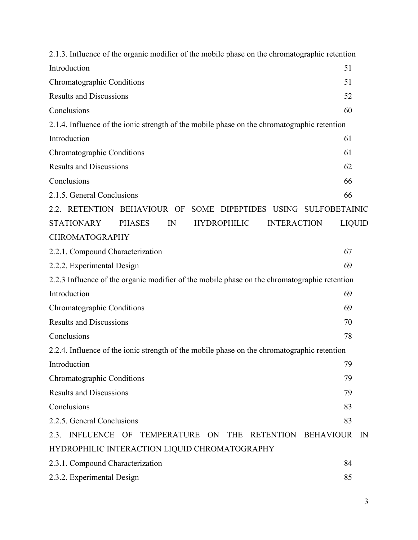| 2.1.3. Influence of the organic modifier of the mobile phase on the chromatographic retention |               |
|-----------------------------------------------------------------------------------------------|---------------|
| Introduction                                                                                  | 51            |
| Chromatographic Conditions                                                                    | 51            |
| <b>Results and Discussions</b>                                                                | 52            |
| Conclusions                                                                                   | 60            |
| 2.1.4. Influence of the ionic strength of the mobile phase on the chromatographic retention   |               |
| Introduction                                                                                  | 61            |
| Chromatographic Conditions                                                                    | 61            |
| <b>Results and Discussions</b>                                                                | 62            |
| Conclusions                                                                                   | 66            |
| 2.1.5. General Conclusions                                                                    | 66            |
| 2.2. RETENTION BEHAVIOUR OF SOME DIPEPTIDES USING SULFOBETAINIC                               |               |
| <b>STATIONARY</b><br><b>PHASES</b><br>IN<br><b>HYDROPHILIC</b><br><b>INTERACTION</b>          | <b>LIQUID</b> |
| CHROMATOGRAPHY                                                                                |               |
| 2.2.1. Compound Characterization                                                              | 67            |
| 2.2.2. Experimental Design                                                                    | 69            |
| 2.2.3 Influence of the organic modifier of the mobile phase on the chromatographic retention  |               |
| Introduction                                                                                  | 69            |
| Chromatographic Conditions                                                                    | 69            |
| <b>Results and Discussions</b>                                                                | 70            |
| Conclusions                                                                                   | 78            |
| 2.2.4. Influence of the ionic strength of the mobile phase on the chromatographic retention   |               |
| Introduction                                                                                  | 79            |
| Chromatographic Conditions                                                                    | 79            |
| <b>Results and Discussions</b>                                                                | 79            |
| Conclusions                                                                                   | 83            |
| 2.2.5. General Conclusions                                                                    | 83            |
| 2.3. INFLUENCE OF TEMPERATURE ON THE<br>RETENTION BEHAVIOUR                                   | IN            |
| HYDROPHILIC INTERACTION LIQUID CHROMATOGRAPHY                                                 |               |
| 2.3.1. Compound Characterization                                                              | 84            |
| 2.3.2. Experimental Design                                                                    | 85            |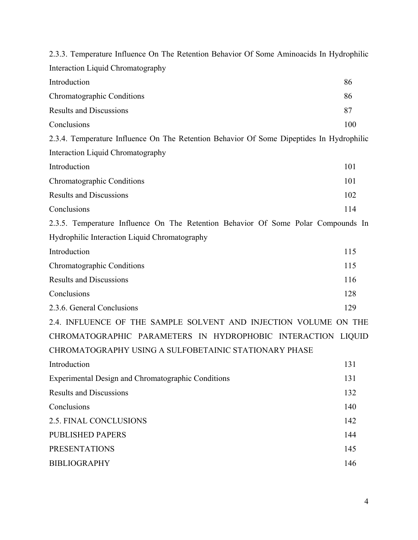| 2.3.3. Temperature Influence On The Retention Behavior Of Some Aminoacids In Hydrophilic |     |
|------------------------------------------------------------------------------------------|-----|
| Interaction Liquid Chromatography                                                        |     |
| Introduction                                                                             | 86  |
| Chromatographic Conditions                                                               | 86  |
| <b>Results and Discussions</b>                                                           | 87  |
| Conclusions                                                                              | 100 |
| 2.3.4. Temperature Influence On The Retention Behavior Of Some Dipeptides In Hydrophilic |     |
| Interaction Liquid Chromatography                                                        |     |
| Introduction                                                                             | 101 |
| Chromatographic Conditions                                                               | 101 |
| <b>Results and Discussions</b>                                                           | 102 |
| Conclusions                                                                              | 114 |
| 2.3.5. Temperature Influence On The Retention Behavior Of Some Polar Compounds In        |     |
| Hydrophilic Interaction Liquid Chromatography                                            |     |
| Introduction                                                                             | 115 |
| Chromatographic Conditions                                                               | 115 |
| <b>Results and Discussions</b>                                                           | 116 |
| Conclusions                                                                              | 128 |
| 2.3.6. General Conclusions                                                               | 129 |
| 2.4. INFLUENCE OF THE SAMPLE SOLVENT AND INJECTION VOLUME ON THE                         |     |
| CHROMATOGRAPHIC PARAMETERS IN HYDROPHOBIC INTERACTION LIQUID                             |     |
| CHROMATOGRAPHY USING A SULFOBETAINIC STATIONARY PHASE                                    |     |
| Introduction                                                                             | 131 |
| Experimental Design and Chromatographic Conditions                                       | 131 |
| <b>Results and Discussions</b>                                                           | 132 |
| Conclusions                                                                              | 140 |
| 2.5. FINAL CONCLUSIONS                                                                   | 142 |
| <b>PUBLISHED PAPERS</b>                                                                  | 144 |
| <b>PRESENTATIONS</b>                                                                     | 145 |
| <b>BIBLIOGRAPHY</b>                                                                      | 146 |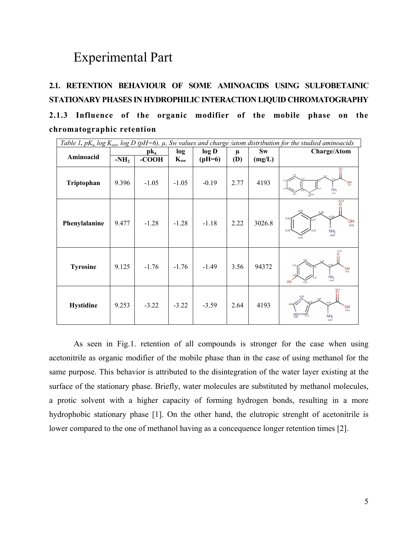## Experimental Part

## **2.1. RETENTION BEHAVIOUR OF SOME AMINOACIDS USING SULFOBETAINIC STATIONARY PHASES IN HYDROPHILIC INTERACTION LIQUID CHROMATOGRAPHY 2.1.3 Influence of the organic modifier of the mobile phase on the chromatographic retention**

|                  | Table 1. pK <sub>a,</sub> log K <sub>ow</sub> , log D (pH=6), $\mu$ , Sw values and charge /atom distribution for the studied aminoacids |         |          |          |            |         |                                                                                      |  |
|------------------|------------------------------------------------------------------------------------------------------------------------------------------|---------|----------|----------|------------|---------|--------------------------------------------------------------------------------------|--|
|                  |                                                                                                                                          | $pk_a$  | log      | log D    | $\mu$      | $S_{W}$ | <b>Charge/Atom</b>                                                                   |  |
| Aminoacid        | $-NH2$                                                                                                                                   | -COOH   | $K_{ow}$ | $(pH=6)$ | <b>(D)</b> | (mg/L)  |                                                                                      |  |
| Triptophan       | 9.396                                                                                                                                    | $-1.05$ | $-1.05$  | $-0.19$  | 2.77       | 4193    | $\frac{601}{100}$<br>NH <sub>2</sub><br>$-0,63$<br>$n_{0.09}$                        |  |
| Phenylalanine    | 9.477                                                                                                                                    | $-1.28$ | $-1.28$  | $-1.18$  | 2.22       | 3026.8  | $-0,14$<br>0,33<br>0.17<br>'OH<br>0.01<br>0.33<br>NH <sub>2</sub><br>$-0.63$<br>0.33 |  |
| <b>Tyrosine</b>  | 9.125                                                                                                                                    | $-1.76$ | $-1.76$  | $-1.49$  | 3.56       | 94372   | $\frac{1}{2}$ OH<br>$NH_2$<br>HO                                                     |  |
| <b>Hystidine</b> | 9.253                                                                                                                                    | $-3.22$ | $-3.22$  | $-3.59$  | 2.64       | 4193    | $-0,07$<br>$OH_{-0,01}$<br>$H_N$<br>NH <sub>2</sub><br>0.63                          |  |

As seen in Fig.1. retention of all compounds is stronger for the case when using acetonitrile as organic modifier of the mobile phase than in the case of using methanol for the same purpose. This behavior is attributed to the disintegration of the water layer existing at the surface of the stationary phase. Briefly, water molecules are substituted by methanol molecules, a protic solvent with a higher capacity of forming hydrogen bonds, resulting in a more hydrophobic stationary phase [1]. On the other hand, the elutropic strenght of acetonitrile is lower compared to the one of methanol having as a concequence longer retention times [2].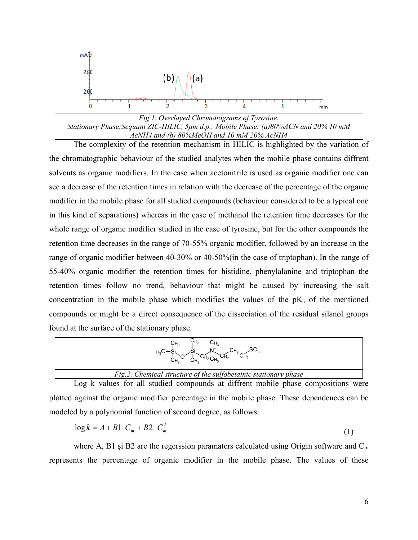

The complexity of the retention mechanism in HILIC is highlighted by the variation of the chromatographic behaviour of the studied analytes when the mobile phase contains diffrent solvents as organic modifiers. In the case when acetonitrile is used as organic modifier one can see a decrease of the retention times in relation with the decrease of the percentage of the organic modifier in the mobile phase for all studied compounds (behaviour considered to be a typical one in this kind of separations) whereas in the case of methanol the retention time decreases for the whole range of organic modifier studied in the case of tyrosine, but for the other compounds the retention time decreases in the range of 70-55% organic modifier, followed by an increase in the range of organic modifier between 40-30% or 40-50%(in the case of triptophan). In the range of 55-40% organic modifier the retention times for histidine, phenylalanine and triptophan the retention times follow no trend, behaviour that might be caused by increasing the salt concentration in the mobile phase which modifies the values of the  $pK_a$  of the mentioned compounds or might be a direct consequence of the dissociation of the residual silanol groups found at the surface of the stationary phase.

| ບ∺∘<br>UH。<br>$H_3C^-$<br>UH,<br>UH <sub>2</sub><br>$H_2$ C <sub>H<sub>3</sub></sub><br>$C_{H_2}$<br>C <sub>H</sub> |  |
|---------------------------------------------------------------------------------------------------------------------|--|
| Fig.2. Chemical structure of the sulfobetainic stationary phase                                                     |  |

Log k values for all studied compounds at diffrent mobile phase compositions were plotted against the organic modifier percentage in the mobile phase. These dependences can be modeled by a polynomial function of second degree, as follows:

$$
\log k = A + B1 \cdot C_m + B2 \cdot C_m^2 \tag{1}
$$

where A, B1 și B2 are the regerssion paramaters calculated using Origin software and  $C_m$ represents the percentage of organic modifier in the mobile phase. The values of these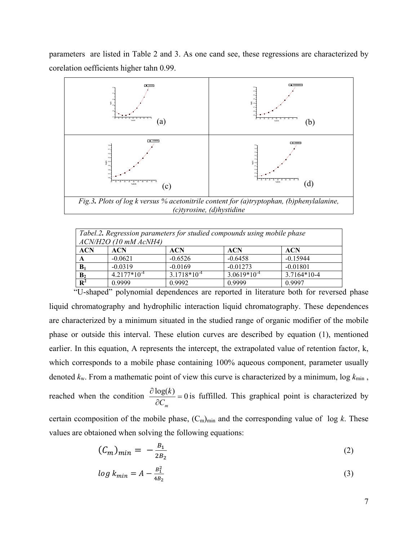parameters are listed in Table 2 and 3. As one cand see, these regressions are characterized by corelation oefficients higher tahn 0.99.



| Tabel.2. Regression parameters for studied compounds using mobile phase<br>$ACN/H2O$ (10 mM $ACNH4$ ) |                  |                  |                  |             |  |  |  |
|-------------------------------------------------------------------------------------------------------|------------------|------------------|------------------|-------------|--|--|--|
| <b>ACN</b>                                                                                            | <b>ACN</b>       | <b>ACN</b>       | <b>ACN</b>       | <b>ACN</b>  |  |  |  |
|                                                                                                       | $-0.0621$        | $-0.6526$        | $-0.6458$        | $-0.15944$  |  |  |  |
| $B_1$                                                                                                 | $-0.0319$        | $-0.0169$        | $-0.01273$       | $-0.01801$  |  |  |  |
| B <sub>2</sub>                                                                                        | $4.2177*10^{-4}$ | $3.1718*10^{-4}$ | $3.0619*10^{-4}$ | 3.7164*10-4 |  |  |  |
| $\mathbf{R}^2$                                                                                        | 0.9999           | 0.9992           | 0.9999           | 0.9997      |  |  |  |

"U-shaped" polynomial dependences are reported in literature both for reversed phase liquid chromatography and hydrophilic interaction liquid chromatography. These dependences are characterized by a minimum situated in the studied range of organic modifier of the mobile phase or outside this interval. These elution curves are described by equation (1), mentioned earlier. In this equation, A represents the intercept, the extrapolated value of retention factor, k, which corresponds to a mobile phase containing 100% aqueous component, parameter usually denoted  $k<sub>w</sub>$ . From a mathematic point of view this curve is characterized by a minimum,  $\log k_{\min}$ , reached when the condition  $\frac{\partial \log(k)}{\partial C_m} = 0$  $C_m$  $\frac{k}{k} = 0$  is fuffilled. This graphical point is characterized by

certain ccomposition of the mobile phase,  $(C_m)_{min}$  and the corresponding value of log *k*. These values are obtaioned when solving the following equations:

$$
(\mathcal{C}_m)_{min} = -\frac{B_1}{2B_2} \tag{2}
$$

$$
\log k_{min} = A - \frac{B_1^2}{4B_2} \tag{3}
$$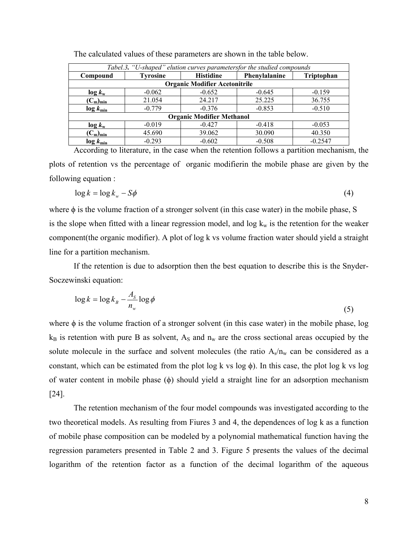| Tabel.3. "U-shaped" elution curves parametersfor the studied compounds |                                      |                                   |          |                   |  |  |  |  |
|------------------------------------------------------------------------|--------------------------------------|-----------------------------------|----------|-------------------|--|--|--|--|
| Compound                                                               | <b>Tyrosine</b>                      | <b>Histidine</b><br>Phenylalanine |          | <b>Triptophan</b> |  |  |  |  |
|                                                                        | <b>Organic Modifier Acetonitrile</b> |                                   |          |                   |  |  |  |  |
| $\log k_{\rm w}$                                                       | $-0.062$                             | $-0.652$                          | $-0.645$ | $-0.159$          |  |  |  |  |
| $(C_m)_{min}$                                                          | 21.054                               | 24.217                            | 25.225   | 36.755            |  |  |  |  |
| $\log k_{\min}$                                                        | $-0.779$                             | $-0.376$                          | $-0.853$ | $-0.510$          |  |  |  |  |
|                                                                        | <b>Organic Modifier Methanol</b>     |                                   |          |                   |  |  |  |  |
| $\log k_{\rm w}$                                                       | $-0.019$                             | $-0.427$                          | $-0.418$ | $-0.053$          |  |  |  |  |
| $(C_m)_{min}$                                                          | 45.690                               | 39.062                            | 30.090   | 40.350            |  |  |  |  |
| $\log k_{\min}$                                                        | $-0.293$                             | $-0.602$                          | $-0.508$ | $-0.2547$         |  |  |  |  |

The calculated values of these parameters are shown in the table below.

According to literature, in the case when the retention follows a partition mechanism, the plots of retention vs the percentage of organic modifierin the mobile phase are given by the following equation :

$$
\log k = \log k_w - S\phi \tag{4}
$$

where  $\phi$  is the volume fraction of a stronger solvent (in this case water) in the mobile phase, S is the slope when fitted with a linear regression model, and  $\log k_w$  is the retention for the weaker component(the organic modifier). A plot of log k vs volume fraction water should yield a straight line for a partition mechanism.

If the retention is due to adsorption then the best equation to describe this is the Snyder-Soczewinski equation:

$$
\log k = \log k_B - \frac{A_S}{n_w} \log \phi \tag{5}
$$

where  $\phi$  is the volume fraction of a stronger solvent (in this case water) in the mobile phase, log  $k_B$  is retention with pure B as solvent, A<sub>s</sub> and  $n_w$  are the cross sectional areas occupied by the solute molecule in the surface and solvent molecules (the ratio  $A_s/n_w$  can be considered as a constant, which can be estimated from the plot  $log k$  vs  $log \phi$ ). In this case, the plot  $log k$  vs  $log$ of water content in mobile phase  $(\phi)$  should yield a straight line for an adsorption mechanism [24].

The retention mechanism of the four model compounds was investigated according to the two theoretical models. As resulting from Fiures 3 and 4, the dependences of log k as a function of mobile phase composition can be modeled by a polynomial mathematical function having the regression parameters presented in Table 2 and 3. Figure 5 presents the values of the decimal logarithm of the retention factor as a function of the decimal logarithm of the aqueous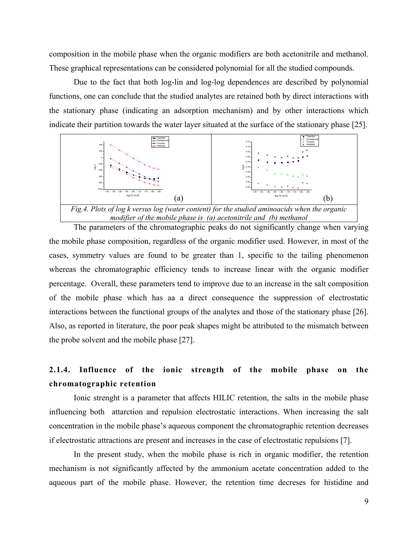composition in the mobile phase when the organic modifiers are both acetonitrile and methanol. These graphical representations can be considered polynomial for all the studied compounds.

Due to the fact that both log-lin and log-log dependences are described by polynomial functions, one can conclude that the studied analytes are retained both by direct interactions with the stationary phase (indicating an adsorption mechanism) and by other interactions which indicate their partition towards the water layer situated at the surface of the stationary phase [25].



*modifier of the mobile phase is (a) acetonitrile and (b) methanol*

The parameters of the chromatographic peaks do not significantly change when varying the mobile phase composition, regardless of the organic modifier used. However, in most of the cases, symmetry values are found to be greater than 1, specific to the tailing phenomenon whereas the chromatographic efficiency tends to increase linear with the organic modifier percentage. Overall, these parameters tend to improve due to an increase in the salt composition of the mobile phase which has aa a direct consequence the suppression of electrostatic interactions between the functional groups of the analytes and those of the stationary phase [26]. Also, as reported in literature, the poor peak shapes might be attributed to the mismatch between the probe solvent and the mobile phase [27].

#### **2.1.4. Influence of the ionic strength of the mobile phase on the chromatographic retention**

Ionic strenght is a parameter that affects HILIC retention, the salts in the mobile phase influencing both attarction and repulsion electrostatic interactions. When increasing the salt concentration in the mobile phase's aqueous component the chromatographic retention decreases if electrostatic attractions are present and increases in the case of electrostatic repulsions [7].

In the present study, when the mobile phase is rich in organic modifier, the retention mechanism is not significantly affected by the ammonium acetate concentration added to the aqueous part of the mobile phase. However, the retention time decreses for histidine and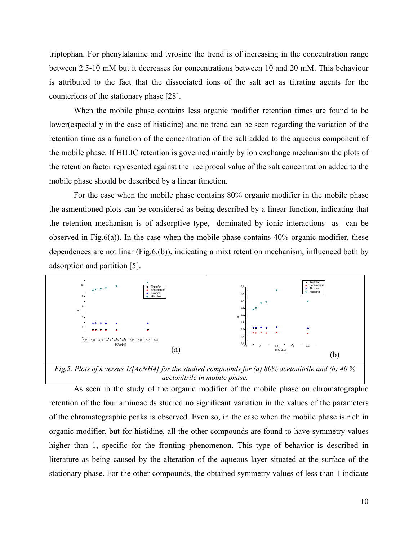triptophan. For phenylalanine and tyrosine the trend is of increasing in the concentration range between 2.5-10 mM but it decreases for concentrations between 10 and 20 mM. This behaviour is attributed to the fact that the dissociated ions of the salt act as titrating agents for the counterions of the stationary phase [28].

When the mobile phase contains less organic modifier retention times are found to be lower(especially in the case of histidine) and no trend can be seen regarding the variation of the retention time as a function of the concentration of the salt added to the aqueous component of the mobile phase. If HILIC retention is governed mainly by ion exchange mechanism the plots of the retention factor represented against the reciprocal value of the salt concentration added to the mobile phase should be described by a linear function.

For the case when the mobile phase contains 80% organic modifier in the mobile phase the asmentioned plots can be considered as being described by a linear function, indicating that the retention mechanism is of adsorptive type, dominated by ionic interactions as can be observed in Fig.6(a)). In the case when the mobile phase contains  $40\%$  organic modifier, these dependences are not linar (Fig.6.(b)), indicating a mixt retention mechanism, influenced both by adsorption and partition [5].



*Fig.5. Plots of k versus 1/[AcNH4] for the studied compounds for (a) 80% acetonitrile and (b) 40 % acetonitrile in mobile phase.*

As seen in the study of the organic modifier of the mobile phase on chromatographic retention of the four aminoacids studied no significant variation in the values of the parameters of the chromatographic peaks is observed. Even so, in the case when the mobile phase is rich in organic modifier, but for histidine, all the other compounds are found to have symmetry values higher than 1, specific for the fronting phenomenon. This type of behavior is described in literature as being caused by the alteration of the aqueous layer situated at the surface of the stationary phase. For the other compounds, the obtained symmetry values of less than 1 indicate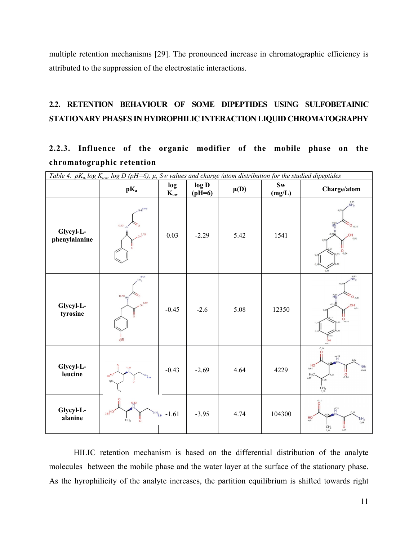multiple retention mechanisms [29]. The pronounced increase in chromatographic efficiency is attributed to the suppression of the electrostatic interactions.

### **2.2. RETENTION BEHAVIOUR OF SOME DIPEPTIDES USING SULFOBETAINIC STATIONARY PHASES IN HYDROPHILIC INTERACTION LIQUID CHROMATOGRAPHY**

## **2.2.3. Influence of the organic modifier of the mobile phase on the chromatographic retention**

| Table 4. $pK_a \log K_{ow}$ , $\log D$ (pH=6), $\mu$ , Sw values and charge /atom distribution for the studied dipeptides |                                                                   |                    |                   |          |                                  |                                                                                                                                    |  |
|---------------------------------------------------------------------------------------------------------------------------|-------------------------------------------------------------------|--------------------|-------------------|----------|----------------------------------|------------------------------------------------------------------------------------------------------------------------------------|--|
|                                                                                                                           | $pK_a$                                                            | log<br>$K_{ow}$    | log D<br>$(pH=6)$ | $\mu(D)$ | $\mathbf{S}\mathbf{w}$<br>(mg/L) | Charge/atom                                                                                                                        |  |
| Glycyl-L-<br>phenylalanine                                                                                                | 8.140<br>$13,621$<br>3729                                         | 0.03               | $-2.29$           | 5.42     | 1541                             | 0,63<br>NH <sub>2</sub><br>H <sup>58</sup><br>$°O_{.0,14}$<br>OH<br>0,01<br>$O_{0,14}$                                             |  |
| Glycyl-L-<br>tyrosine                                                                                                     | 8,121<br>$13,701$ HN<br>3,397<br>95/3                             | $-0.45$            | $-2.6$            | 5.08     | 12350                            | $NH_2$<br>$\hat{H}^{ss}_{\underline{N}}$<br>$O_{.0,14}$<br>OH<br>0.01<br>$\frac{1}{2}$<br>0.02<br>$rac{1}{0.01}$                   |  |
| Glycyl-L-<br>leucine                                                                                                      | 1,95<br>$3.89$ HO<br>$NH_{\text{b,14}}$<br>$H_1C$<br>ċн.          | $-0.43$            | $-2.69$           | 4.64     | 4229                             | $-0, 14$<br>$-0.58$<br>$-0,39$<br>HO<br>$NH2$<br>-0,63<br>$^{11}_{0,14}$<br>$H_3C$ .<br>0.06<br>$CH3$ <sub>0,68</sub>              |  |
| Glycyl-L-<br>alanine                                                                                                      | 13.82<br>3.61 <sup>HO'</sup><br>CH <sub>3</sub><br>$\ddot{\circ}$ | $NH_{2,14} - 1.61$ | $-3.95$           | 4.74     | 104300                           | $\overline{O}^{0,14}$<br>$\frac{10}{11}$ <sup>58</sup><br>H <sub>0,01</sub><br>.0.63<br>$_{0,14}^{\circ}$<br>$CH8$ <sub>0,44</sub> |  |

HILIC retention mechanism is based on the differential distribution of the analyte molecules between the mobile phase and the water layer at the surface of the stationary phase. As the hyrophilicity of the analyte increases, the partition equilibrium is shifted towards right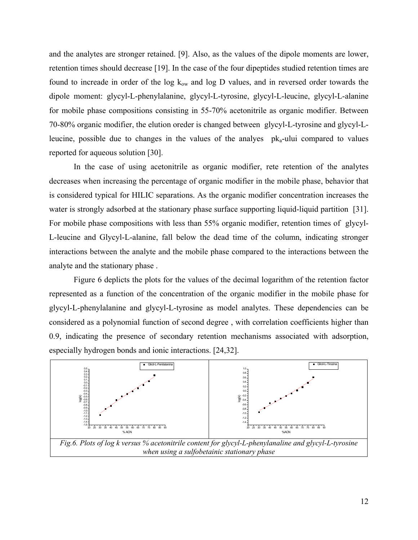and the analytes are stronger retained. [9]. Also, as the values of the dipole moments are lower, retention times should decrease [19]. In the case of the four dipeptides studied retention times are found to increade in order of the log  $k_{ow}$  and log D values, and in reversed order towards the dipole moment: glycyl-L-phenylalanine, glycyl-L-tyrosine, glycyl-L-leucine, glycyl-L-alanine for mobile phase compositions consisting in 55-70% acetonitrile as organic modifier. Between 70-80% organic modifier, the elution oreder is changed between glycyl-L-tyrosine and glycyl-Lleucine, possible due to changes in the values of the analyes  $pk_a$ -ului compared to values reported for aqueous solution [30].

In the case of using acetonitrile as organic modifier, rete retention of the analytes decreases when increasing the percentage of organic modifier in the mobile phase, behavior that is considered typical for HILIC separations. As the organic modifier concentration increases the water is strongly adsorbed at the stationary phase surface supporting liquid-liquid partition [31]. For mobile phase compositions with less than 55% organic modifier, retention times of glycyl-L-leucine and Glycyl-L-alanine, fall below the dead time of the column, indicating stronger interactions between the analyte and the mobile phase compared to the interactions between the analyte and the stationary phase .

Figure 6 deplicts the plots for the values of the decimal logarithm of the retention factor represented as a function of the concentration of the organic modifier in the mobile phase for glycyl-L-phenylalanine and glycyl-L-tyrosine as model analytes. These dependencies can be considered as a polynomial function of second degree , with correlation coefficients higher than 0.9, indicating the presence of secondary retention mechanisms associated with adsorption, especially hydrogen bonds and ionic interactions. [24,32].

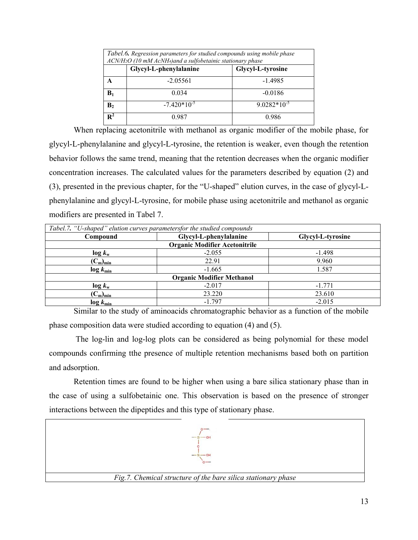| Tabel.6. Regression parameters for studied compounds using mobile phase<br>ACN/H2O (10 mM AcNH4) and a sulfobetainic stationary phase |                        |                   |  |  |  |  |
|---------------------------------------------------------------------------------------------------------------------------------------|------------------------|-------------------|--|--|--|--|
|                                                                                                                                       | Glycyl-L-phenylalanine | Glycyl-L-tyrosine |  |  |  |  |
| A                                                                                                                                     | $-2.05561$             | $-1.4985$         |  |  |  |  |
| $\mathbf{B}_1$                                                                                                                        | 0.034                  | $-0.0186$         |  |  |  |  |
| B <sub>2</sub>                                                                                                                        | $-7.420*10^{-5}$       | $9.0282*10^{-5}$  |  |  |  |  |
| $R^2$                                                                                                                                 | 0.987                  | 0.986             |  |  |  |  |

When replacing acetonitrile with methanol as organic modifier of the mobile phase, for glycyl-L-phenylalanine and glycyl-L-tyrosine, the retention is weaker, even though the retention behavior follows the same trend, meaning that the retention decreases when the organic modifier concentration increases. The calculated values for the parameters described by equation (2) and (3), presented in the previous chapter, for the "U-shaped" elution curves, in the case of glycyl-Lphenylalanine and glycyl-L-tyrosine, for mobile phase using acetonitrile and methanol as organic modifiers are presented in Tabel 7.

| Tabel.7. "U-shaped" elution curves parametersfor the studied compounds |                                  |                   |  |  |  |  |  |  |
|------------------------------------------------------------------------|----------------------------------|-------------------|--|--|--|--|--|--|
| Compound                                                               | Glycyl-L-phenylalanine           | Glycyl-L-tyrosine |  |  |  |  |  |  |
| <b>Organic Modifier Acetonitrile</b>                                   |                                  |                   |  |  |  |  |  |  |
| $\log k_{\rm w}$                                                       | $-2.055$                         | $-1.498$          |  |  |  |  |  |  |
| $(C_m)_{min}$                                                          | 22.91                            | 9.960             |  |  |  |  |  |  |
| $\log k_{\text{min}}$                                                  | $-1.665$                         | 1.587             |  |  |  |  |  |  |
|                                                                        | <b>Organic Modifier Methanol</b> |                   |  |  |  |  |  |  |
| $\log k_{\rm w}$                                                       | $-2.017$                         | $-1.771$          |  |  |  |  |  |  |
| $(C_m)_{min}$                                                          | 23.220                           | 23.610            |  |  |  |  |  |  |
| $\log k_{\min}$                                                        | $-1.797$                         | $-2.015$          |  |  |  |  |  |  |

Similar to the study of aminoacids chromatographic behavior as a function of the mobile phase composition data were studied according to equation (4) and (5).

The log-lin and log-log plots can be considered as being polynomial for these model compounds confirming tthe presence of multiple retention mechanisms based both on partition and adsorption.

Retention times are found to be higher when using a bare silica stationary phase than in the case of using a sulfobetainic one. This observation is based on the presence of stronger interactions between the dipeptides and this type of stationary phase.

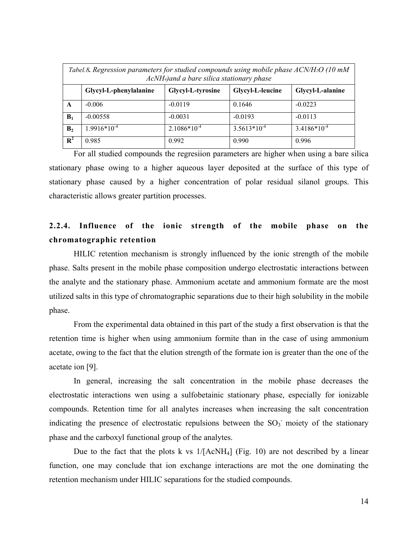| Tabel.8. Regression parameters for studied compounds using mobile phase $ACN/H_2O$ (10 mM<br>AcNH <sub>4</sub> ) and a bare silica stationary phase |                                                                                     |                  |                  |                  |  |  |  |  |
|-----------------------------------------------------------------------------------------------------------------------------------------------------|-------------------------------------------------------------------------------------|------------------|------------------|------------------|--|--|--|--|
|                                                                                                                                                     | Glycyl-L-leucine<br>Glycyl-L-tyrosine<br>Glycyl-L-alanine<br>Glycyl-L-phenylalanine |                  |                  |                  |  |  |  |  |
| A                                                                                                                                                   | $-0.006$                                                                            | $-0.0119$        | 0.1646           | $-0.0223$        |  |  |  |  |
| B <sub>1</sub>                                                                                                                                      | $-0.00558$                                                                          | $-0.0031$        | $-0.0193$        | $-0.0113$        |  |  |  |  |
| B <sub>2</sub>                                                                                                                                      | $1.9916*10^{-4}$                                                                    | $2.1086*10^{-4}$ | $3.5613*10^{-4}$ | $3.4186*10^{-4}$ |  |  |  |  |
| $\overline{\mathbf{R}^2}$                                                                                                                           | 0.985                                                                               | 0.992            | 0.990            | 0.996            |  |  |  |  |

For all studied compounds the regresiion parameters are higher when using a bare silica stationary phase owing to a higher aqueous layer deposited at the surface of this type of stationary phase caused by a higher concentration of polar residual silanol groups. This characteristic allows greater partition processes.

#### **2.2.4. Influence of the ionic strength of the mobile phase on the chromatographic retention**

HILIC retention mechanism is strongly influenced by the ionic strength of the mobile phase. Salts present in the mobile phase composition undergo electrostatic interactions between the analyte and the stationary phase. Ammonium acetate and ammonium formate are the most utilized salts in this type of chromatographic separations due to their high solubility in the mobile phase.

From the experimental data obtained in this part of the study a first observation is that the retention time is higher when using ammonium formite than in the case of using ammonium acetate, owing to the fact that the elution strength of the formate ion is greater than the one of the acetate ion [9].

In general, increasing the salt concentration in the mobile phase decreases the electrostatic interactions wen using a sulfobetainic stationary phase, especially for ionizable compounds. Retention time for all analytes increases when increasing the salt concentration indicating the presence of electrostatic repulsions between the  $SO_3^-$  moiety of the stationary phase and the carboxyl functional group of the analytes.

Due to the fact that the plots k vs  $1/[\text{AcNH}_4]$  (Fig. 10) are not described by a linear function, one may conclude that ion exchange interactions are mot the one dominating the retention mechanism under HILIC separations for the studied compounds.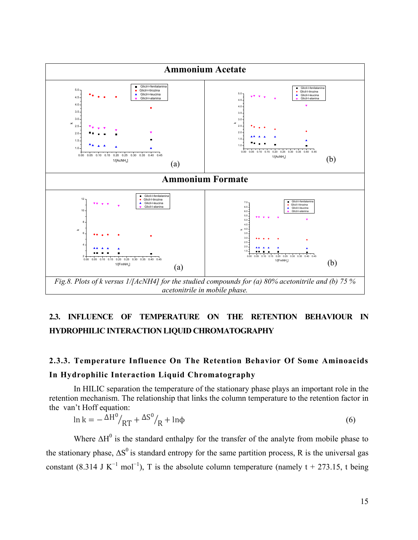

### **2.3. INFLUENCE OF TEMPERATURE ON THE RETENTION BEHAVIOUR IN HYDROPHILIC INTERACTION LIQUID CHROMATOGRAPHY**

### **2.3.3. Temperature Influence On The Retention Behavior Of Some Aminoacids In Hydrophilic Interaction Liquid Chromatography**

In HILIC separation the temperature of the stationary phase plays an important role in the retention mechanism. The relationship that links the column temperature to the retention factor in the van't Hoff equation:

$$
\ln k = -\frac{\Delta H^0}{RT} + \frac{\Delta S^0}{R} + \ln \phi \tag{6}
$$

Where  $\Delta H^0$  is the standard enthalpy for the transfer of the analyte from mobile phase to the stationary phase,  $\Delta S^0$  is standard entropy for the same partition process, R is the universal gas constant (8.314 J K<sup>-1</sup> mol<sup>-1</sup>), T is the absolute column temperature (namely t + 273.15, t being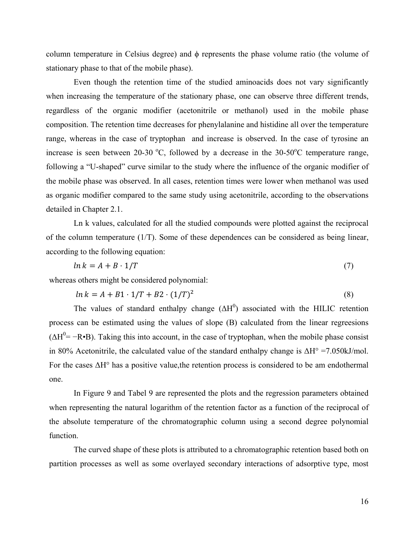column temperature in Celsius degree) and  $\phi$  represents the phase volume ratio (the volume of stationary phase to that of the mobile phase).

Even though the retention time of the studied aminoacids does not vary significantly when increasing the temperature of the stationary phase, one can observe three different trends, regardless of the organic modifier (acetonitrile or methanol) used in the mobile phase composition. The retention time decreases for phenylalanine and histidine all over the temperature range, whereas in the case of tryptophan and increase is observed. In the case of tyrosine an increase is seen between 20-30 °C, followed by a decrease in the 30-50°C temperature range, following a "U-shaped" curve similar to the study where the influence of the organic modifier of the mobile phase was observed. In all cases, retention times were lower when methanol was used as organic modifier compared to the same study using acetonitrile, according to the observations detailed in Chapter 2.1.

Ln k values, calculated for all the studied compounds were plotted against the reciprocal of the column temperature (1/T). Some of these dependences can be considered as being linear, according to the following equation:

$$
ln k = A + B \cdot 1/T \tag{7}
$$

whereas others might be considered polynomial:

$$
ln k = A + B1 \cdot 1/T + B2 \cdot (1/T)^2 \tag{8}
$$

The values of standard enthalpy change  $(\Delta H^0)$  associated with the HILIC retention process can be estimated using the values of slope (B) calculated from the linear regreesions  $(\Delta H^0 = -R \cdot B)$ . Taking this into account, in the case of tryptophan, when the mobile phase consist in 80% Acetonitrile, the calculated value of the standard enthalpy change is  $\Delta H^{\circ} = 7.050 \text{kJ/mol}$ . For the cases ΔH° has a positive value,the retention process is considered to be am endothermal one.

In Figure 9 and Tabel 9 are represented the plots and the regression parameters obtained when representing the natural logarithm of the retention factor as a function of the reciprocal of the absolute temperature of the chromatographic column using a second degree polynomial function.

The curved shape of these plots is attributed to a chromatographic retention based both on partition processes as well as some overlayed secondary interactions of adsorptive type, most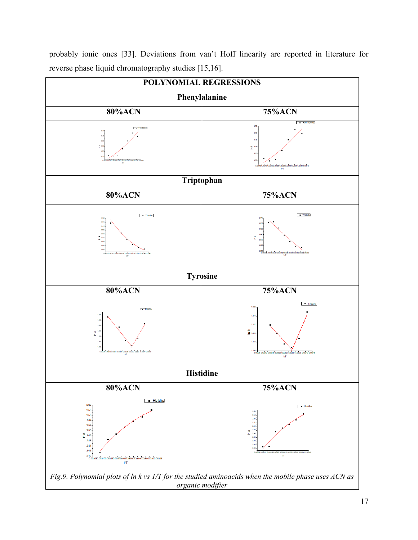

probably ionic ones [33]. Deviations from van't Hoff linearity are reported in literature for reverse phase liquid chromatography studies [15,16].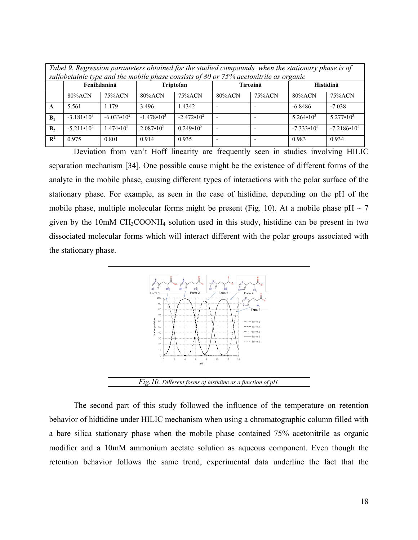|                                                                                                                                        | Tabel 9. Regression parameters obtained for the studied compounds when the stationary phase is of<br>sulfobetainic type and the mobile phase consists of 80 or 75% acetonitrile as organic |                       |                       |                       |            |                      |                    |                    |  |
|----------------------------------------------------------------------------------------------------------------------------------------|--------------------------------------------------------------------------------------------------------------------------------------------------------------------------------------------|-----------------------|-----------------------|-----------------------|------------|----------------------|--------------------|--------------------|--|
|                                                                                                                                        | Fenilalanină<br>Triptofan<br>Tirozină<br>Histidină                                                                                                                                         |                       |                       |                       |            |                      |                    |                    |  |
|                                                                                                                                        | $80\%$ ACN                                                                                                                                                                                 | 75%ACN                | $80\%$ ACN            | 75%ACN                | $80\%$ ACN | 75%ACN               | $80\%$ ACN         | 75%ACN             |  |
| A                                                                                                                                      | 5.561                                                                                                                                                                                      | 1.179                 | 3.496                 | 1.4342                |            |                      | $-6.8486$          | $-7.038$           |  |
| $B_1$                                                                                                                                  | $-3.181 \cdot 10^3$                                                                                                                                                                        | $-6.033 \cdot 10^{2}$ | $-1.478 \cdot 10^{3}$ | $-2.472 \cdot 10^{2}$ |            |                      | $5.264 \cdot 10^3$ | $5.277 \cdot 10^3$ |  |
| $2.087 \cdot 10^5$<br>$-5.211 \cdot 10^{5}$<br>$1.474 \cdot 10^{5}$<br>$-7.333 \cdot 10^{5}$<br>$0.249 \cdot 10^{5}$<br>B <sub>2</sub> |                                                                                                                                                                                            |                       |                       |                       |            | $-7.2186 \cdot 10^5$ |                    |                    |  |
| $\mathbb{R}^2$                                                                                                                         | 0.975                                                                                                                                                                                      | 0.801                 | 0.914                 | 0.935                 |            |                      | 0.983              | 0.934              |  |

Deviation from van't Hoff linearity are frequently seen in studies involving HILIC separation mechanism [34]. One possible cause might be the existence of different forms of the analyte in the mobile phase, causing different types of interactions with the polar surface of the stationary phase. For example, as seen in the case of histidine, depending on the pH of the mobile phase, multiple molecular forms might be present (Fig. 10). At a mobile phase  $pH \sim 7$ given by the  $10mM CH<sub>3</sub>COONH<sub>4</sub>$  solution used in this study, histidine can be present in two dissociated molecular forms which will interact different with the polar groups associated with the stationary phase.



The second part of this study followed the influence of the temperature on retention behavior of hidtidine under HILIC mechanism when using a chromatographic column filled with a bare silica stationary phase when the mobile phase contained 75% acetonitrile as organic modifier and a 10mM ammonium acetate solution as aqueous component. Even though the retention behavior follows the same trend, experimental data underline the fact that the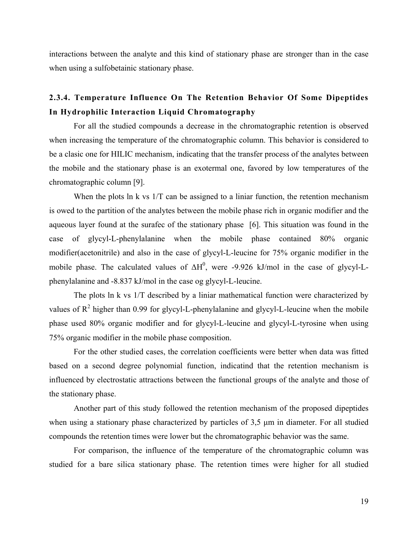interactions between the analyte and this kind of stationary phase are stronger than in the case when using a sulfobetainic stationary phase.

### **2.3.4. Temperature Influence On The Retention Behavior Of Some Dipeptides In Hydrophilic Interaction Liquid Chromatography**

For all the studied compounds a decrease in the chromatographic retention is observed when increasing the temperature of the chromatographic column. This behavior is considered to be a clasic one for HILIC mechanism, indicating that the transfer process of the analytes between the mobile and the stationary phase is an exotermal one, favored by low temperatures of the chromatographic column [9].

When the plots ln k vs  $1/T$  can be assigned to a liniar function, the retention mechanism is owed to the partition of the analytes between the mobile phase rich in organic modifier and the aqueous layer found at the surafec of the stationary phase [6]. This situation was found in the case of glycyl-L-phenylalanine when the mobile phase contained 80% organic modifier(acetonitrile) and also in the case of glycyl-L-leucine for 75% organic modifier in the mobile phase. The calculated values of  $\Delta H^0$ , were -9.926 kJ/mol in the case of glycyl-Lphenylalanine and -8.837 kJ/mol in the case og glycyl-L-leucine.

The plots ln k vs 1/T described by a liniar mathematical function were characterized by values of  $\mathbb{R}^2$  higher than 0.99 for glycyl-L-phenylalanine and glycyl-L-leucine when the mobile phase used 80% organic modifier and for glycyl-L-leucine and glycyl-L-tyrosine when using 75% organic modifier in the mobile phase composition.

For the other studied cases, the correlation coefficients were better when data was fitted based on a second degree polynomial function, indicatind that the retention mechanism is influenced by electrostatic attractions between the functional groups of the analyte and those of the stationary phase.

Another part of this study followed the retention mechanism of the proposed dipeptides when using a stationary phase characterized by particles of 3,5 μm in diameter. For all studied compounds the retention times were lower but the chromatographic behavior was the same.

For comparison, the influence of the temperature of the chromatographic column was studied for a bare silica stationary phase. The retention times were higher for all studied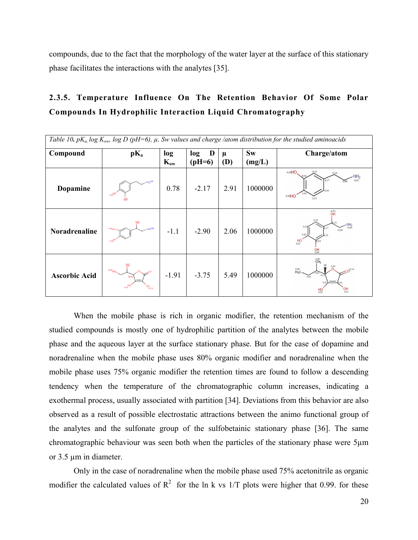compounds, due to the fact that the morphology of the water layer at the surface of this stationary phase facilitates the interactions with the analytes [35].

### **2.3.5. Temperature Influence On The Retention Behavior Of Some Polar Compounds In Hydrophilic Interaction Liquid Chromatography**

| Table 10. $pK_a$ , log $K_{ow}$ , log D (pH=6), $\mu$ , Sw values and charge /atom distribution for the studied aminoacids |                                                             |                 |                      |                 |                     |                                                                                                                                      |
|----------------------------------------------------------------------------------------------------------------------------|-------------------------------------------------------------|-----------------|----------------------|-----------------|---------------------|--------------------------------------------------------------------------------------------------------------------------------------|
| Compound                                                                                                                   | $pK_a$                                                      | log<br>$K_{ow}$ | D<br>log<br>$(pH=6)$ | μ<br><b>(D)</b> | <b>Sw</b><br>(mg/L) | Charge/atom                                                                                                                          |
| Dopamine                                                                                                                   | NH <sub>227</sub><br>12.93                                  | 0.78            | $-2.17$              | 2.91            | 1000000             | $0,01$ HO<br>NH <sub>2</sub><br>0.17<br>0,01HO<br>0.33                                                                               |
| <b>Noradrenaline</b>                                                                                                       | 1.1188<br>H <sub>12.65</sub>                                | $-1.1$          | $-2.90$              | 2.06            | 1000000             | $\frac{-0.52}{\bigcap H}$<br>0.11<br>$NH_2$ <sub>-0,63</sub><br>0.17<br>$-0,08$<br>0,02<br>$H_{0,01}^{HO}$<br>5.02<br>$_{0.01}^{OH}$ |
| <b>Ascorbic Acid</b>                                                                                                       | 12名<br>$15.97$ HO<br>$H_O$ <sup>MO</sup><br>$O_{11.19}^{H}$ | $-1.91$         | $-3.75$              | 5.49            | 1000000             | $\overset{0.68}{CH}_3$<br>0,15<br>$^{0,68}_{H_3C}$<br>$0^{0,14}$<br>$O_{0,01}^{O}$<br>$^{HO}_{0.01}$                                 |

When the mobile phase is rich in organic modifier, the retention mechanism of the studied compounds is mostly one of hydrophilic partition of the analytes between the mobile phase and the aqueous layer at the surface stationary phase. But for the case of dopamine and noradrenaline when the mobile phase uses 80% organic modifier and noradrenaline when the mobile phase uses 75% organic modifier the retention times are found to follow a descending tendency when the temperature of the chromatographic column increases, indicating a exothermal process, usually associated with partition [34]. Deviations from this behavior are also observed as a result of possible electrostatic attractions between the animo functional group of the analytes and the sulfonate group of the sulfobetainic stationary phase [36]. The same chromatographic behaviour was seen both when the particles of the stationary phase were 5µm or 3.5 µm in diameter.

Only in the case of noradrenaline when the mobile phase used 75% acetonitrile as organic modifier the calculated values of  $R^2$  for the ln k vs 1/T plots were higher that 0.99. for these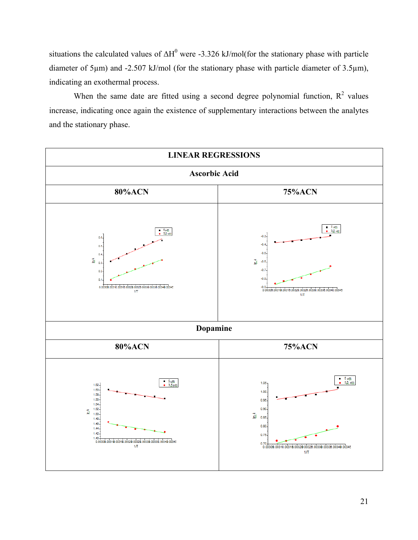situations the calculated values of  $\Delta H^0$  were -3.326 kJ/mol(for the stationary phase with particle diameter of 5µm) and -2.507 kJ/mol (for the stationary phase with particle diameter of 3.5µm), indicating an exothermal process.

When the same date are fitted using a second degree polynomial function,  $R^2$  values increase, indicating once again the existence of supplementary interactions between the analytes and the stationary phase.

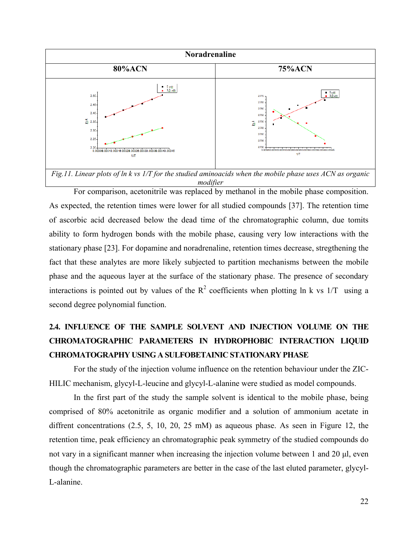

*modifier*

For comparison, acetonitrile was replaced by methanol in the mobile phase composition. As expected, the retention times were lower for all studied compounds [37]. The retention time of ascorbic acid decreased below the dead time of the chromatographic column, due tomits ability to form hydrogen bonds with the mobile phase, causing very low interactions with the stationary phase [23]. For dopamine and noradrenaline, retention times decrease, stregthening the fact that these analytes are more likely subjected to partition mechanisms between the mobile phase and the aqueous layer at the surface of the stationary phase. The presence of secondary interactions is pointed out by values of the  $R^2$  coefficients when plotting ln k vs 1/T using a second degree polynomial function.

## **2.4. INFLUENCE OF THE SAMPLE SOLVENT AND INJECTION VOLUME ON THE CHROMATOGRAPHIC PARAMETERS IN HYDROPHOBIC INTERACTION LIQUID CHROMATOGRAPHY USING A SULFOBETAINIC STATIONARY PHASE**

For the study of the injection volume influence on the retention behaviour under the ZIC-HILIC mechanism, glycyl-L-leucine and glycyl-L-alanine were studied as model compounds.

In the first part of the study the sample solvent is identical to the mobile phase, being comprised of 80% acetonitrile as organic modifier and a solution of ammonium acetate in diffrent concentrations (2.5, 5, 10, 20, 25 mM) as aqueous phase. As seen in Figure 12, the retention time, peak efficiency an chromatographic peak symmetry of the studied compounds do not vary in a significant manner when increasing the injection volume between 1 and 20 μl, even though the chromatographic parameters are better in the case of the last eluted parameter, glycyl-L-alanine.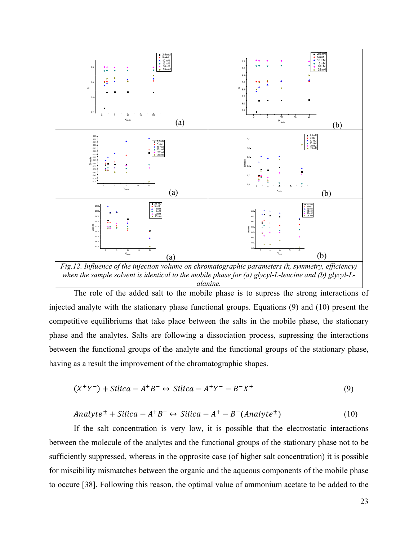

The role of the added salt to the mobile phase is to supress the strong interactions of injected analyte with the stationary phase functional groups. Equations (9) and (10) present the competitive equilibriums that take place between the salts in the mobile phase, the stationary phase and the analytes. Salts are following a dissociation process, supressing the interactions between the functional groups of the analyte and the functional groups of the stationary phase, having as a result the improvement of the chromatographic shapes.

$$
(X^+Y^-) + Silica - A^+B^- \leftrightarrow Silica - A^+Y^- - B^-X^+ \tag{9}
$$

$$
Analyte^{\pm} + Silica - A^{+}B^{-} \leftrightarrow Silica - A^{+} - B^{-}(Analyte^{\pm})
$$
\n
$$
(10)
$$

If the salt concentration is very low, it is possible that the electrostatic interactions between the molecule of the analytes and the functional groups of the stationary phase not to be sufficiently suppressed, whereas in the opprosite case (of higher salt concentration) it is possible for miscibility mismatches between the organic and the aqueous components of the mobile phase to occure [38]. Following this reason, the optimal value of ammonium acetate to be added to the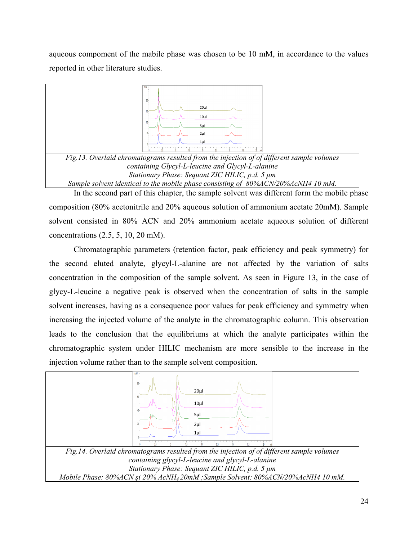aqueous compoment of the mabile phase was chosen to be 10 mM, in accordance to the values reported in other literature studies.



In the second part of this chapter, the sample solvent was different form the mobile phase composition (80% acetonitrile and 20% aqueous solution of ammonium acetate 20mM). Sample solvent consisted in 80% ACN and 20% ammonium acetate aqueous solution of different concentrations (2.5, 5, 10, 20 mM).

Chromatographic parameters (retention factor, peak efficiency and peak symmetry) for the second eluted analyte, glycyl-L-alanine are not affected by the variation of salts concentration in the composition of the sample solvent. As seen in Figure 13, in the case of glycy-L-leucine a negative peak is observed when the concentration of salts in the sample solvent increases, having as a consequence poor values for peak efficiency and symmetry when increasing the injected volume of the analyte in the chromatographic column. This observation leads to the conclusion that the equilibriums at which the analyte participates within the chromatographic system under HILIC mechanism are more sensible to the increase in the injection volume rather than to the sample solvent composition.

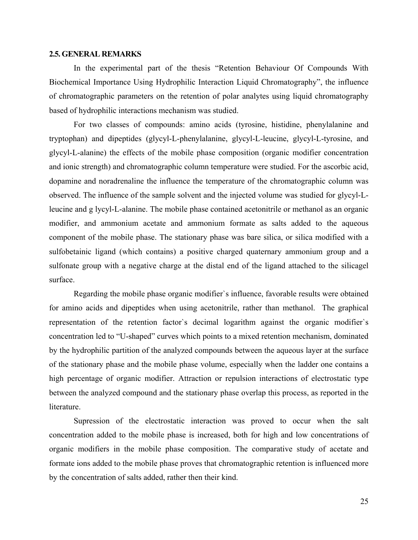#### **2.5. GENERAL REMARKS**

In the experimental part of the thesis "Retention Behaviour Of Compounds With Biochemical Importance Using Hydrophilic Interaction Liquid Chromatography", the influence of chromatographic parameters on the retention of polar analytes using liquid chromatography based of hydrophilic interactions mechanism was studied.

For two classes of compounds: amino acids (tyrosine, histidine, phenylalanine and tryptophan) and dipeptides (glycyl-L-phenylalanine, glycyl-L-leucine, glycyl-L-tyrosine, and glycyl-L-alanine) the effects of the mobile phase composition (organic modifier concentration and ionic strength) and chromatographic column temperature were studied. For the ascorbic acid, dopamine and noradrenaline the influence the temperature of the chromatographic column was observed. The influence of the sample solvent and the injected volume was studied for glycyl-Lleucine and g lycyl-L-alanine. The mobile phase contained acetonitrile or methanol as an organic modifier, and ammonium acetate and ammonium formate as salts added to the aqueous component of the mobile phase. The stationary phase was bare silica, or silica modified with a sulfobetainic ligand (which contains) a positive charged quaternary ammonium group and a sulfonate group with a negative charge at the distal end of the ligand attached to the silicagel surface.

Regarding the mobile phase organic modifier`s influence, favorable results were obtained for amino acids and dipeptides when using acetonitrile, rather than methanol. The graphical representation of the retention factor`s decimal logarithm against the organic modifier`s concentration led to "U-shaped" curves which points to a mixed retention mechanism, dominated by the hydrophilic partition of the analyzed compounds between the aqueous layer at the surface of the stationary phase and the mobile phase volume, especially when the ladder one contains a high percentage of organic modifier. Attraction or repulsion interactions of electrostatic type between the analyzed compound and the stationary phase overlap this process, as reported in the literature.

Supression of the electrostatic interaction was proved to occur when the salt concentration added to the mobile phase is increased, both for high and low concentrations of organic modifiers in the mobile phase composition. The comparative study of acetate and formate ions added to the mobile phase proves that chromatographic retention is influenced more by the concentration of salts added, rather then their kind.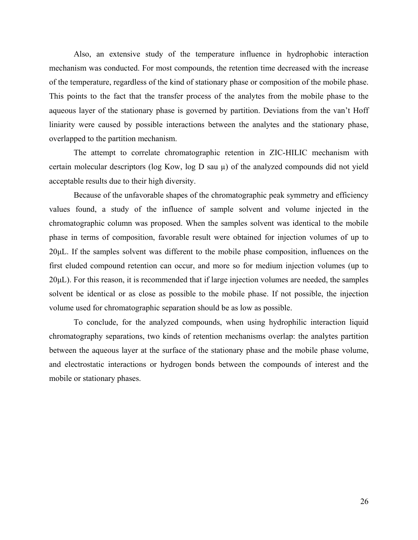Also, an extensive study of the temperature influence in hydrophobic interaction mechanism was conducted. For most compounds, the retention time decreased with the increase of the temperature, regardless of the kind of stationary phase or composition of the mobile phase. This points to the fact that the transfer process of the analytes from the mobile phase to the aqueous layer of the stationary phase is governed by partition. Deviations from the van't Hoff liniarity were caused by possible interactions between the analytes and the stationary phase, overlapped to the partition mechanism.

The attempt to correlate chromatographic retention in ZIC-HILIC mechanism with certain molecular descriptors (log Kow, log D sau  $\mu$ ) of the analyzed compounds did not yield acceptable results due to their high diversity.

Because of the unfavorable shapes of the chromatographic peak symmetry and efficiency values found, a study of the influence of sample solvent and volume injected in the chromatographic column was proposed. When the samples solvent was identical to the mobile phase in terms of composition, favorable result were obtained for injection volumes of up to 20μL. If the samples solvent was different to the mobile phase composition, influences on the first eluded compound retention can occur, and more so for medium injection volumes (up to 20μL). For this reason, it is recommended that if large injection volumes are needed, the samples solvent be identical or as close as possible to the mobile phase. If not possible, the injection volume used for chromatographic separation should be as low as possible.

To conclude, for the analyzed compounds, when using hydrophilic interaction liquid chromatography separations, two kinds of retention mechanisms overlap: the analytes partition between the aqueous layer at the surface of the stationary phase and the mobile phase volume, and electrostatic interactions or hydrogen bonds between the compounds of interest and the mobile or stationary phases.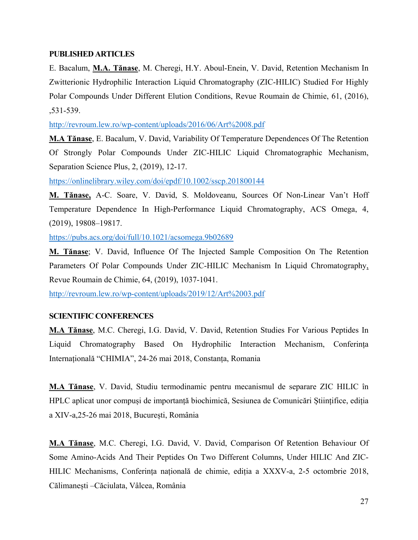#### **PUBLISHED ARTICLES**

E. Bacalum, **M.A. Tănase**, M. Cheregi, H.Y. Aboul-Enein, V. David, Retention Mechanism In Zwitterionic Hydrophilic Interaction Liquid Chromatography (ZIC-HILIC) Studied For Highly Polar Compounds Under Different Elution Conditions, Revue Roumain de Chimie, 61, (2016), ,531-539.

http://revroum.lew.ro/wp[-content/uploads/2016/06/Art%2008.pdf](http://revroum.lew.ro/wp-content/uploads/2016/06/Art%2008.pdf)

**M.A Tănase**, E. Bacalum, V. David, Variability Of Temperature Dependences Of The Retention Of Strongly Polar Compounds Under ZIC-HILIC Liquid Chromatographic Mechanism, Separation Science Plus, 2, (2019), 12-17.

<https://onlinelibrary.wiley.com/doi/epdf/10.1002/sscp.201800144>

**M. Tănase,** A-C. Soare, V. David, S. Moldoveanu, Sources Of Non-Linear Van't Hoff Temperature Dependence In High-Performance Liquid Chromatography, ACS Omega, 4, (2019), 19808–19817.

<https://pubs.acs.org/doi/full/10.1021/acsomega.9b02689>

**M. Tănase**; V. David, Influence Of The Injected Sample Composition On The Retention Parameters Of Polar Compounds Under ZIC-HILIC Mechanism In Liquid Chromatography, Revue Roumain de Chimie, 64, (2019), 1037-1041.

http://revroum.lew.ro/wp[-content/uploads/2019/12/Art%2003.pdf](http://revroum.lew.ro/wp-content/uploads/2019/12/Art%2003.pdf)

#### **SCIENTIFIC CONFERENCES**

**M.A Tănase**, M.C. Cheregi, I.G. David, V. David, Retention Studies For Various Peptides In Liquid Chromatography Based On Hydrophilic Interaction Mechanism, Conferința Internațională "CHIMIA", 24-26 mai 2018, Constanța, Romania

**M.A Tănase**, V. David, Studiu termodinamic pentru mecanismul de separare ZIC HILIC în HPLC aplicat unor compuși de importanță biochimică, Sesiunea de Comunicări Științifice, ediția a XIV-a,25-26 mai 2018, București, România

**M.A Tănase**, M.C. Cheregi, I.G. David, V. David, Comparison Of Retention Behaviour Of Some Amino-Acids And Their Peptides On Two Different Columns, Under HILIC And ZIC-HILIC Mechanisms, Conferința națională de chimie, ediția a XXXV-a, 2-5 octombrie 2018, Călimanești –Căciulata, Vâlcea, România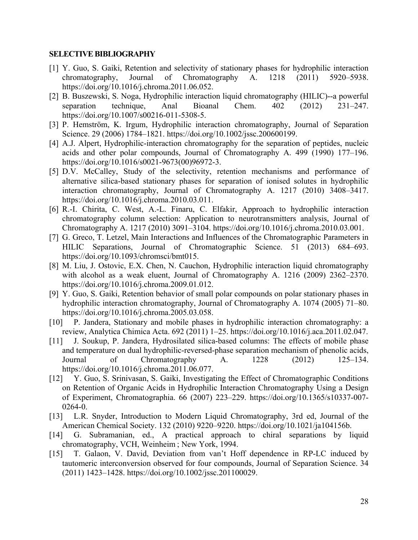#### **SELECTIVE BIBLIOGRAPHY**

- [1] Y. Guo, S. Gaiki, Retention and selectivity of stationary phases for hydrophilic interaction chromatography, Journal of Chromatography A. 1218 (2011) 5920–5938. https://doi.org/10.1016/j.chroma.2011.06.052.
- [2] B. Buszewski, S. Noga, Hydrophilic interaction liquid chromatography (HILIC)--a powerful separation technique, Anal Bioanal Chem. 402 (2012) 231–247. https://doi.org/10.1007/s00216-011-5308-5.
- [3] P. Hemström, K. Irgum, Hydrophilic interaction chromatography, Journal of Separation Science. 29 (2006) 1784–1821. https://doi.org/10.1002/jssc.200600199.
- [4] A.J. Alpert, Hydrophilic-interaction chromatography for the separation of peptides, nucleic acids and other polar compounds, Journal of Chromatography A. 499 (1990) 177–196. https://doi.org/10.1016/s0021-9673(00)96972-3.
- [5] D.V. McCalley, Study of the selectivity, retention mechanisms and performance of alternative silica-based stationary phases for separation of ionised solutes in hydrophilic interaction chromatography, Journal of Chromatography A. 1217 (2010) 3408–3417. https://doi.org/10.1016/j.chroma.2010.03.011.
- [6] R.-I. Chirita, C. West, A.-L. Finaru, C. Elfakir, Approach to hydrophilic interaction chromatography column selection: Application to neurotransmitters analysis, Journal of Chromatography A. 1217 (2010) 3091–3104. https://doi.org/10.1016/j.chroma.2010.03.001.
- [7] G. Greco, T. Letzel, Main Interactions and Influences of the Chromatographic Parameters in HILIC Separations, Journal of Chromatographic Science. 51 (2013) 684–693. https://doi.org/10.1093/chromsci/bmt015.
- [8] M. Liu, J. Ostovic, E.X. Chen, N. Cauchon, Hydrophilic interaction liquid chromatography with alcohol as a weak eluent, Journal of Chromatography A. 1216 (2009) 2362–2370. https://doi.org/10.1016/j.chroma.2009.01.012.
- [9] Y. Guo, S. Gaiki, Retention behavior of small polar compounds on polar stationary phases in hydrophilic interaction chromatography, Journal of Chromatography A. 1074 (2005) 71–80. https://doi.org/10.1016/j.chroma.2005.03.058.
- [10] P. Jandera, Stationary and mobile phases in hydrophilic interaction chromatography: a review, Analytica Chimica Acta. 692 (2011) 1–25. https://doi.org/10.1016/j.aca.2011.02.047.
- [11] J. Soukup, P. Jandera, Hydrosilated silica-based columns: The effects of mobile phase and temperature on dual hydrophilic-reversed-phase separation mechanism of phenolic acids, Journal of Chromatography A. 1228 (2012) 125–134. https://doi.org/10.1016/j.chroma.2011.06.077.
- [12] Y. Guo, S. Srinivasan, S. Gaiki, Investigating the Effect of Chromatographic Conditions on Retention of Organic Acids in Hydrophilic Interaction Chromatography Using a Design of Experiment, Chromatographia. 66 (2007) 223–229. https://doi.org/10.1365/s10337-007- 0264-0.
- [13] L.R. Snyder, Introduction to Modern Liquid Chromatography, 3rd ed, Journal of the American Chemical Society. 132 (2010) 9220–9220. https://doi.org/10.1021/ja104156b.
- [14] G. Subramanian, ed., A practical approach to chiral separations by liquid chromatography, VCH, Weinheim ; New York, 1994.
- [15] T. Galaon, V. David, Deviation from van't Hoff dependence in RP-LC induced by tautomeric interconversion observed for four compounds, Journal of Separation Science. 34 (2011) 1423–1428. https://doi.org/10.1002/jssc.201100029.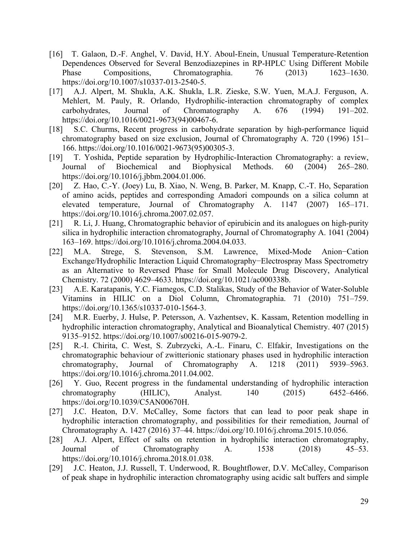- [16] T. Galaon, D.-F. Anghel, V. David, H.Y. Aboul-Enein, Unusual Temperature-Retention Dependences Observed for Several Benzodiazepines in RP-HPLC Using Different Mobile Phase Compositions, Chromatographia. 76 (2013) 1623–1630. https://doi.org/10.1007/s10337-013-2540-5.
- [17] A.J. Alpert, M. Shukla, A.K. Shukla, L.R. Zieske, S.W. Yuen, M.A.J. Ferguson, A. Mehlert, M. Pauly, R. Orlando, Hydrophilic-interaction chromatography of complex carbohydrates, Journal of Chromatography A. 676 (1994) 191–202. https://doi.org/10.1016/0021-9673(94)00467-6.
- [18] S.C. Churms, Recent progress in carbohydrate separation by high-performance liquid chromatography based on size exclusion, Journal of Chromatography A. 720 (1996) 151– 166. https://doi.org/10.1016/0021-9673(95)00305-3.
- [19] T. Yoshida, Peptide separation by Hydrophilic-Interaction Chromatography: a review, Journal of Biochemical and Biophysical Methods. 60 (2004) 265–280. https://doi.org/10.1016/j.jbbm.2004.01.006.
- [20] Z. Hao, C.-Y. (Joey) Lu, B. Xiao, N. Weng, B. Parker, M. Knapp, C.-T. Ho, Separation of amino acids, peptides and corresponding Amadori compounds on a silica column at elevated temperature, Journal of Chromatography A. 1147 (2007) 165–171. https://doi.org/10.1016/j.chroma.2007.02.057.
- [21] R. Li, J. Huang, Chromatographic behavior of epirubicin and its analogues on high-purity silica in hydrophilic interaction chromatography, Journal of Chromatography A. 1041 (2004) 163–169. https://doi.org/10.1016/j.chroma.2004.04.033.
- [22] M.A. Strege, S. Stevenson, S.M. Lawrence, Mixed-Mode Anion−Cation Exchange/Hydrophilic Interaction Liquid Chromatography−Electrospray Mass Spectrometry as an Alternative to Reversed Phase for Small Molecule Drug Discovery, Analytical Chemistry. 72 (2000) 4629–4633. https://doi.org/10.1021/ac000338b.
- [23] A.E. Karatapanis, Y.C. Fiamegos, C.D. Stalikas, Study of the Behavior of Water-Soluble Vitamins in HILIC on a Diol Column, Chromatographia. 71 (2010) 751–759. https://doi.org/10.1365/s10337-010-1564-3.
- [24] M.R. Euerby, J. Hulse, P. Petersson, A. Vazhentsev, K. Kassam, Retention modelling in hydrophilic interaction chromatography, Analytical and Bioanalytical Chemistry. 407 (2015) 9135–9152. https://doi.org/10.1007/s00216-015-9079-2.
- [25] R.-I. Chirita, C. West, S. Zubrzycki, A.-L. Finaru, C. Elfakir, Investigations on the chromatographic behaviour of zwitterionic stationary phases used in hydrophilic interaction chromatography, Journal of Chromatography A. 1218 (2011) 5939–5963. https://doi.org/10.1016/j.chroma.2011.04.002.
- [26] Y. Guo, Recent progress in the fundamental understanding of hydrophilic interaction chromatography (HILIC), Analyst. 140 (2015) 6452–6466. https://doi.org/10.1039/C5AN00670H.
- [27] J.C. Heaton, D.V. McCalley, Some factors that can lead to poor peak shape in hydrophilic interaction chromatography, and possibilities for their remediation, Journal of Chromatography A. 1427 (2016) 37–44. https://doi.org/10.1016/j.chroma.2015.10.056.
- [28] A.J. Alpert, Effect of salts on retention in hydrophilic interaction chromatography, Journal of Chromatography A. 1538 (2018) 45–53. https://doi.org/10.1016/j.chroma.2018.01.038.
- [29] J.C. Heaton, J.J. Russell, T. Underwood, R. Boughtflower, D.V. McCalley, Comparison of peak shape in hydrophilic interaction chromatography using acidic salt buffers and simple